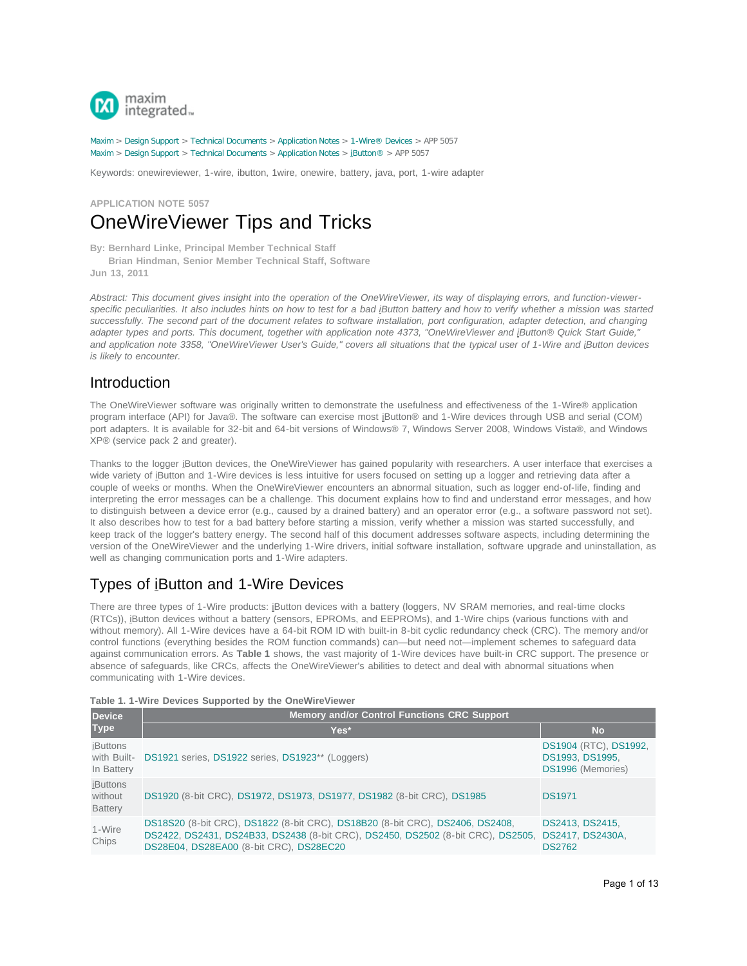

[Maxim](http://www.maximintegrated.com/) > [Design Support](http://www.maximintegrated.com/design/) > [Technical Documents](http://www.maximintegrated.com/design/techdocs/) > [Application Notes](http://www.maximintegrated.com/design/techdocs/app-notes/index.mvp) > [1-Wire® Devices](http://www.maximintegrated.com/design/techdocs/app-notes/index.mvp/id/1/c/1-Wire%26reg%3B%20Devices#c1) > APP 5057 [Maxim](http://www.maximintegrated.com/) > [Design Support](http://www.maximintegrated.com/design/) > [Technical Documents](http://www.maximintegrated.com/design/techdocs/) > [Application Notes](http://www.maximintegrated.com/design/techdocs/app-notes/index.mvp) > [iButton®](http://www.maximintegrated.com/design/techdocs/app-notes/index.mvp/id/65/c/iButton%26reg%3B#c65) > APP 5057

Keywords: onewireviewer, 1-wire, ibutton, 1wire, onewire, battery, java, port, 1-wire adapter

## **APPLICATION NOTE 5057** OneWireViewer Tips and Tricks

**By: Bernhard Linke, Principal Member Technical Staff Brian Hindman, Senior Member Technical Staff, Software Jun 13, 2011**

Abstract: This document gives insight into the operation of the OneWireViewer, its way of displaying errors, and function-viewer*specific peculiarities. It also includes hints on how to test for a bad iButton battery and how to verify whether a mission was started successfully. The second part of the document relates to software installation, port configuration, adapter detection, and changing adapter types and ports. This document, together with application note 4373, "OneWireViewer and iButton® Quick Start Guide," and application note 3358, "OneWireViewer User's Guide," covers all situations that the typical user of 1-Wire and iButton devices is likely to encounter.*

## Introduction

The OneWireViewer software was originally written to demonstrate the usefulness and effectiveness of the 1-Wire® application program interface (API) for Java®. The software can exercise most iButton® and 1-Wire devices through USB and serial (COM) port adapters. It is available for 32-bit and 64-bit versions of Windows® 7, Windows Server 2008, Windows Vista®, and Windows XP® (service pack 2 and greater).

Thanks to the logger iButton devices, the OneWireViewer has gained popularity with researchers. A user interface that exercises a wide variety of iButton and 1-Wire devices is less intuitive for users focused on setting up a logger and retrieving data after a couple of weeks or months. When the OneWireViewer encounters an abnormal situation, such as logger end-of-life, finding and interpreting the error messages can be a challenge. This document explains how to find and understand error messages, and how to distinguish between a device error (e.g., caused by a drained battery) and an operator error (e.g., a software password not set). It also describes how to test for a bad battery before starting a mission, verify whether a mission was started successfully, and keep track of the logger's battery energy. The second half of this document addresses software aspects, including determining the version of the OneWireViewer and the underlying 1-Wire drivers, initial software installation, software upgrade and uninstallation, as well as changing communication ports and 1-Wire adapters.

# Types of iButton and 1-Wire Devices

There are three types of 1-Wire products: *iButton devices with a battery (loggers, NV SRAM memories, and real-time clocks* (RTCs)), iButton devices without a battery (sensors, EPROMs, and EEPROMs), and 1-Wire chips (various functions with and without memory). All 1-Wire devices have a 64-bit ROM ID with built-in 8-bit cyclic redundancy check (CRC). The memory and/or control functions (everything besides the ROM function commands) can—but need not—implement schemes to safeguard data against communication errors. As **Table 1** shows, the vast majority of 1-Wire devices have built-in CRC support. The presence or absence of safeguards, like CRCs, affects the OneWireViewer's abilities to detect and deal with abnormal situations when communicating with 1-Wire devices.

|  |  |  |  |  |  |  | Table 1. 1-Wire Devices Supported by the OneWireViewer |
|--|--|--|--|--|--|--|--------------------------------------------------------|
|--|--|--|--|--|--|--|--------------------------------------------------------|

| <b>Device</b>                                |                                                                                                                                                                                                              |                                                               |
|----------------------------------------------|--------------------------------------------------------------------------------------------------------------------------------------------------------------------------------------------------------------|---------------------------------------------------------------|
| <b>Type</b>                                  | Yes*                                                                                                                                                                                                         | <b>No</b>                                                     |
| <b>iButtons</b><br>with Built-<br>In Battery | DS1921 series, DS1922 series, DS1923** (Loggers)                                                                                                                                                             | DS1904 (RTC), DS1992,<br>DS1993, DS1995,<br>DS1996 (Memories) |
| <b>iButtons</b><br>without<br><b>Battery</b> | DS1920 (8-bit CRC), DS1972, DS1973, DS1977, DS1982 (8-bit CRC), DS1985                                                                                                                                       | <b>DS1971</b>                                                 |
| 1-Wire<br>Chips                              | DS18S20 (8-bit CRC), DS1822 (8-bit CRC), DS18B20 (8-bit CRC), DS2406, DS2408,<br>DS2422, DS2431, DS24B33, DS2438 (8-bit CRC), DS2450, DS2502 (8-bit CRC), DS2505,<br>DS28E04, DS28EA00 (8-bit CRC), DS28EC20 | DS2413, DS2415,<br>DS2417, DS2430A,<br><b>DS2762</b>          |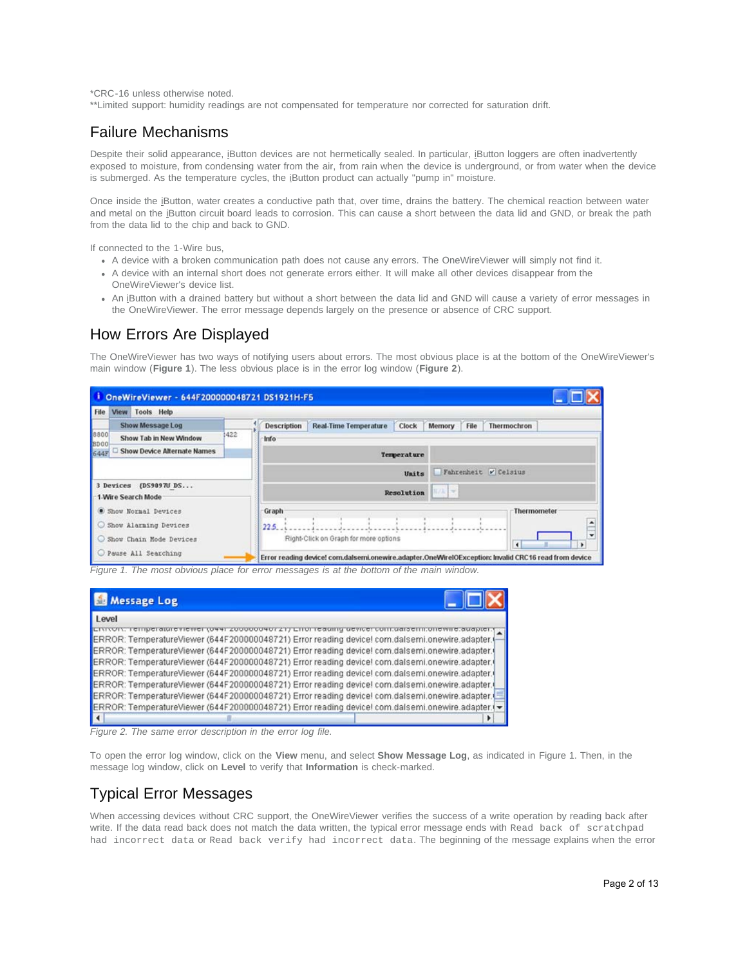\*CRC-16 unless otherwise noted.

\*\*Limited support: humidity readings are not compensated for temperature nor corrected for saturation drift.

### Failure Mechanisms

Despite their solid appearance, iButton devices are not hermetically sealed. In particular, iButton loggers are often inadvertently exposed to moisture, from condensing water from the air, from rain when the device is underground, or from water when the device is submerged. As the temperature cycles, the iButton product can actually "pump in" moisture.

Once inside the iButton, water creates a conductive path that, over time, drains the battery. The chemical reaction between water and metal on the iButton circuit board leads to corrosion. This can cause a short between the data lid and GND, or break the path from the data lid to the chip and back to GND.

If connected to the 1-Wire bus,

- A device with a broken communication path does not cause any errors. The OneWireViewer will simply not find it.
- A device with an internal short does not generate errors either. It will make all other devices disappear from the OneWireViewer's device list.
- An iButton with a drained battery but without a short between the data lid and GND will cause a variety of error messages in the OneWireViewer. The error message depends largely on the presence or absence of CRC support.

## How Errors Are Displayed

The OneWireViewer has two ways of notifying users about errors. The most obvious place is at the bottom of the OneWireViewer's main window (**Figure 1**). The less obvious place is in the error log window (**Figure 2**).



*Figure 1. The most obvious place for error messages is at the bottom of the main window.*

| Message Log                                                                                                                                                                                        |  |
|----------------------------------------------------------------------------------------------------------------------------------------------------------------------------------------------------|--|
| Level                                                                                                                                                                                              |  |
| <b>EITTOIT, Temperatureviewei (U441</b><br>zuuuuuvurzij Liiui ieauiliy u<br>ERROR: TemperatureViewer (644F200000048721) Error reading device! com.dalsemi.onewire.adapter.                         |  |
| ERROR: TemperatureViewer (644F200000048721) Error reading device! com.dalsemi.onewire.adapter.                                                                                                     |  |
| ERROR: TemperatureViewer (644F200000048721) Error reading device! com.dalsemi.onewire.adapter.                                                                                                     |  |
| ERROR: TemperatureViewer (644F200000048721) Error reading device! com.dalsemi.onewire.adapter.                                                                                                     |  |
| ERROR: TemperatureViewer (644F200000048721) Error reading device! com.dalsemi.onewire.adapter.                                                                                                     |  |
| ERROR: TemperatureViewer (644F200000048721) Error reading devicel com.dalsemi.onewire.adapter.<br>ERROR: TemperatureViewer (644F200000048721) Error reading devicel com.dalsemi.onewire.adapter.(v |  |
|                                                                                                                                                                                                    |  |

*Figure 2. The same error description in the error log file.*

To open the error log window, click on the **View** menu, and select **Show Message Log**, as indicated in Figure 1. Then, in the message log window, click on **Level** to verify that **Information** is check-marked.

## Typical Error Messages

When accessing devices without CRC support, the OneWireViewer verifies the success of a write operation by reading back after write. If the data read back does not match the data written, the typical error message ends with Read back of scratchpad had incorrect data or Read back verify had incorrect data. The beginning of the message explains when the error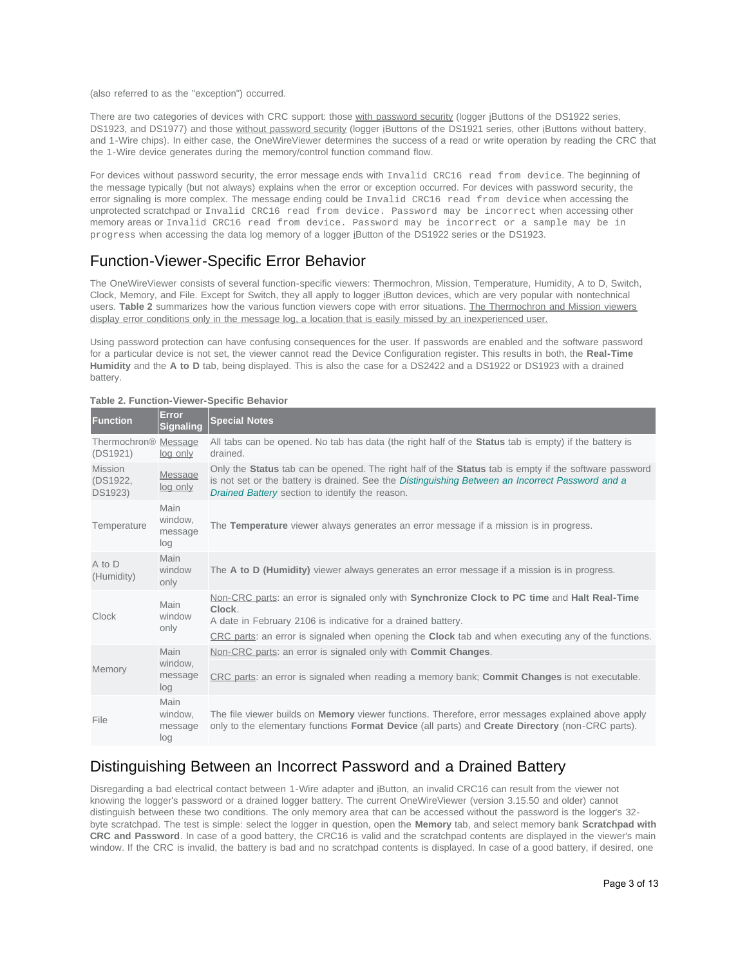(also referred to as the "exception") occurred.

There are two categories of devices with CRC support: those with password security (logger iButtons of the DS1922 series, DS1923, and DS1977) and those without password security (logger iButtons of the DS1921 series, other iButtons without battery, and 1-Wire chips). In either case, the OneWireViewer determines the success of a read or write operation by reading the CRC that the 1-Wire device generates during the memory/control function command flow.

For devices without password security, the error message ends with Invalid CRC16 read from device. The beginning of the message typically (but not always) explains when the error or exception occurred. For devices with password security, the error signaling is more complex. The message ending could be Invalid CRC16 read from device when accessing the unprotected scratchpad or Invalid CRC16 read from device. Password may be incorrect when accessing other memory areas or Invalid CRC16 read from device. Password may be incorrect or a sample may be in progress when accessing the data log memory of a logger iButton of the DS1922 series or the DS1923.

## Function-Viewer-Specific Error Behavior

The OneWireViewer consists of several function-specific viewers: Thermochron, Mission, Temperature, Humidity, A to D, Switch, Clock, Memory, and File. Except for Switch, they all apply to logger iButton devices, which are very popular with nontechnical users. **Table 2** summarizes how the various function viewers cope with error situations. The Thermochron and Mission viewers display error conditions only in the message log, a location that is easily missed by an inexperienced user.

Using password protection can have confusing consequences for the user. If passwords are enabled and the software password for a particular device is not set, the viewer cannot read the Device Configuration register. This results in both, the **Real-Time Humidity** and the **A to D** tab, being displayed. This is also the case for a DS2422 and a DS1922 or DS1923 with a drained battery.

| <b>Function</b>                              | Error<br><b>Signaling</b>         | <b>Special Notes</b>                                                                                                                                                                                                                                         |
|----------------------------------------------|-----------------------------------|--------------------------------------------------------------------------------------------------------------------------------------------------------------------------------------------------------------------------------------------------------------|
| Thermochron <sup>®</sup> Message<br>(DS1921) | log only                          | All tabs can be opened. No tab has data (the right half of the <b>Status</b> tab is empty) if the battery is<br>drained.                                                                                                                                     |
| <b>Mission</b><br>(DS1922,<br>DS1923)        | <b>Message</b><br>log only        | Only the Status tab can be opened. The right half of the Status tab is empty if the software password<br>is not set or the battery is drained. See the Distinguishing Between an Incorrect Password and a<br>Drained Battery section to identify the reason. |
| Temperature                                  | Main<br>window.<br>message<br>log | The Temperature viewer always generates an error message if a mission is in progress.                                                                                                                                                                        |
| A to D<br>(Humidity)                         | Main<br>window<br>only            | The A to D (Humidity) viewer always generates an error message if a mission is in progress.                                                                                                                                                                  |
| Clock                                        | Main<br>window<br>only            | Non-CRC parts: an error is signaled only with Synchronize Clock to PC time and Halt Real-Time<br>Clock.<br>A date in February 2106 is indicative for a drained battery.                                                                                      |
|                                              |                                   | CRC parts: an error is signaled when opening the <b>Clock</b> tab and when executing any of the functions.                                                                                                                                                   |
| Memory                                       | Main<br>window,<br>message<br>log | Non-CRC parts: an error is signaled only with <b>Commit Changes.</b><br>CRC parts: an error is signaled when reading a memory bank; <b>Commit Changes</b> is not executable.                                                                                 |
| File                                         | Main<br>window.<br>message<br>log | The file viewer builds on <b>Memory</b> viewer functions. Therefore, error messages explained above apply<br>only to the elementary functions <b>Format Device</b> (all parts) and <b>Create Directory</b> (non-CRC parts).                                  |

#### **Table 2. Function-Viewer-Specific Behavior**

### <span id="page-2-0"></span>Distinguishing Between an Incorrect Password and a Drained Battery

Disregarding a bad electrical contact between 1-Wire adapter and iButton, an invalid CRC16 can result from the viewer not knowing the logger's password or a drained logger battery. The current OneWireViewer (version 3.15.50 and older) cannot distinguish between these two conditions. The only memory area that can be accessed without the password is the logger's 32 byte scratchpad. The test is simple: select the logger in question, open the **Memory** tab, and select memory bank **Scratchpad with CRC and Password**. In case of a good battery, the CRC16 is valid and the scratchpad contents are displayed in the viewer's main window. If the CRC is invalid, the battery is bad and no scratchpad contents is displayed. In case of a good battery, if desired, one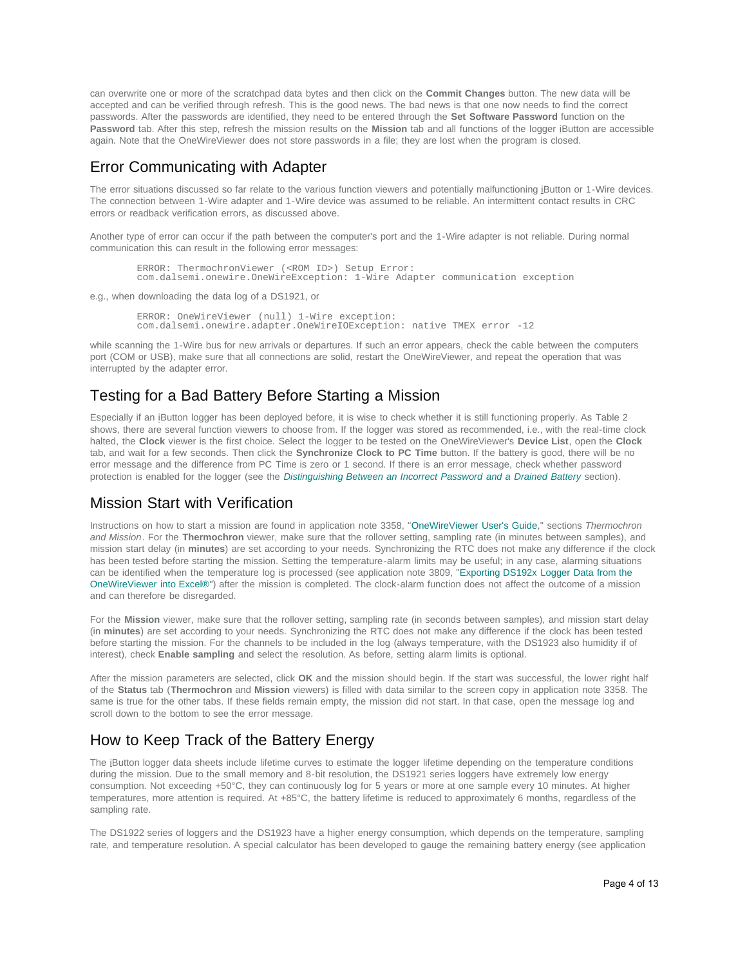can overwrite one or more of the scratchpad data bytes and then click on the **Commit Changes** button. The new data will be accepted and can be verified through refresh. This is the good news. The bad news is that one now needs to find the correct passwords. After the passwords are identified, they need to be entered through the **Set Software Password** function on the **Password** tab. After this step, refresh the mission results on the **Mission** tab and all functions of the logger iButton are accessible again. Note that the OneWireViewer does not store passwords in a file; they are lost when the program is closed.

## Error Communicating with Adapter

The error situations discussed so far relate to the various function viewers and potentially malfunctioning iButton or 1-Wire devices. The connection between 1-Wire adapter and 1-Wire device was assumed to be reliable. An intermittent contact results in CRC errors or readback verification errors, as discussed above.

Another type of error can occur if the path between the computer's port and the 1-Wire adapter is not reliable. During normal communication this can result in the following error messages:

```
 ERROR: ThermochronViewer (<ROM ID>) Setup Error:
com.dalsemi.onewire.OneWireException: 1-Wire Adapter communication exception
```
e.g., when downloading the data log of a DS1921, or

ERROR: OneWireViewer (null) 1-Wire exception: com.dalsemi.onewire.adapter.OneWireIOException: native TMEX error -12

while scanning the 1-Wire bus for new arrivals or departures. If such an error appears, check the cable between the computers port (COM or USB), make sure that all connections are solid, restart the OneWireViewer, and repeat the operation that was interrupted by the adapter error.

# Testing for a Bad Battery Before Starting a Mission

Especially if an iButton logger has been deployed before, it is wise to check whether it is still functioning properly. As Table 2 shows, there are several function viewers to choose from. If the logger was stored as recommended, i.e., with the real-time clock halted, the **Clock** viewer is the first choice. Select the logger to be tested on the OneWireViewer's **Device List**, open the **Clock** tab, and wait for a few seconds. Then click the **Synchronize Clock to PC Time** button. If the battery is good, there will be no error message and the difference from PC Time is zero or 1 second. If there is an error message, check whether password protection is enabled for the logger (see the *[Distinguishing Between an Incorrect Password and a Drained Battery](#page-2-0)* section).

## Mission Start with Verification

Instructions on how to start a mission are found in application note 3358, ["OneWireViewer User's Guide](http://www.maximintegrated.com/an3358)," sections *Thermochron and Mission*. For the **Thermochron** viewer, make sure that the rollover setting, sampling rate (in minutes between samples), and mission start delay (in **minutes**) are set according to your needs. Synchronizing the RTC does not make any difference if the clock has been tested before starting the mission. Setting the temperature-alarm limits may be useful; in any case, alarming situations can be identified when the temperature log is processed (see application note 3809, "[Exporting DS192x Logger Data from the](http://www.maximintegrated.com/an3809) [OneWireViewer into Excel®"](http://www.maximintegrated.com/an3809)) after the mission is completed. The clock-alarm function does not affect the outcome of a mission and can therefore be disregarded.

For the **Mission** viewer, make sure that the rollover setting, sampling rate (in seconds between samples), and mission start delay (in **minutes**) are set according to your needs. Synchronizing the RTC does not make any difference if the clock has been tested before starting the mission. For the channels to be included in the log (always temperature, with the DS1923 also humidity if of interest), check **Enable sampling** and select the resolution. As before, setting alarm limits is optional.

After the mission parameters are selected, click **OK** and the mission should begin. If the start was successful, the lower right half of the **Status** tab (**Thermochron** and **Mission** viewers) is filled with data similar to the screen copy in application note 3358. The same is true for the other tabs. If these fields remain empty, the mission did not start. In that case, open the message log and scroll down to the bottom to see the error message.

# How to Keep Track of the Battery Energy

The iButton logger data sheets include lifetime curves to estimate the logger lifetime depending on the temperature conditions during the mission. Due to the small memory and 8-bit resolution, the DS1921 series loggers have extremely low energy consumption. Not exceeding +50°C, they can continuously log for 5 years or more at one sample every 10 minutes. At higher temperatures, more attention is required. At +85°C, the battery lifetime is reduced to approximately 6 months, regardless of the sampling rate.

The DS1922 series of loggers and the DS1923 have a higher energy consumption, which depends on the temperature, sampling rate, and temperature resolution. A special calculator has been developed to gauge the remaining battery energy (see application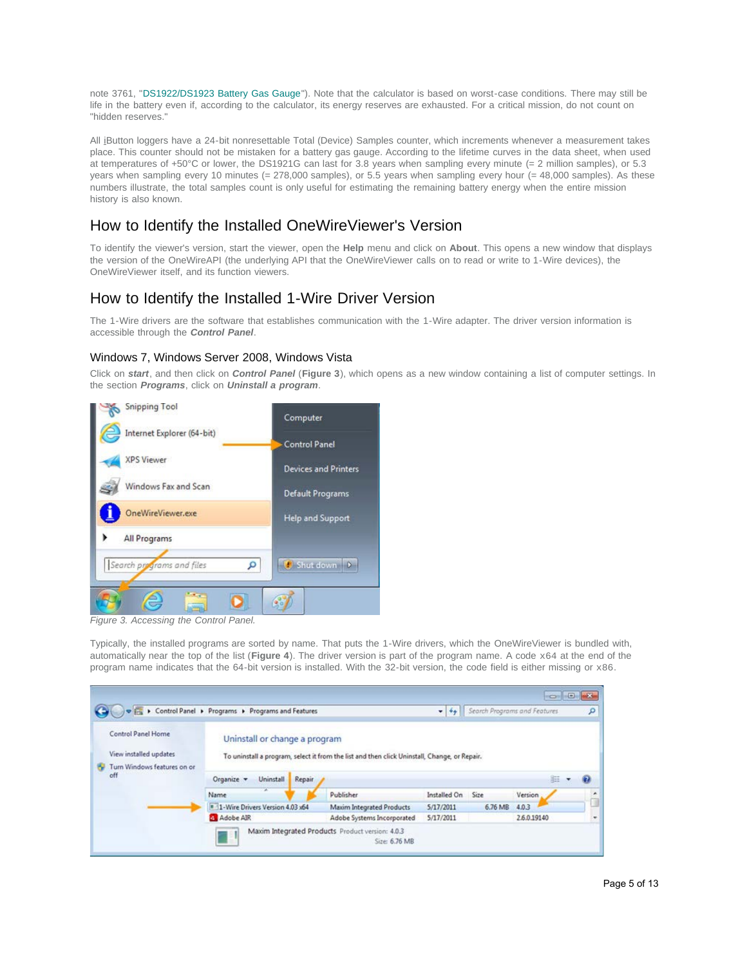note 3761, "[DS1922/DS1923 Battery Gas Gauge](http://www.maximintegrated.com/an3761)"). Note that the calculator is based on worst-case conditions. There may still be life in the battery even if, according to the calculator, its energy reserves are exhausted. For a critical mission, do not count on "hidden reserves."

All iButton loggers have a 24-bit nonresettable Total (Device) Samples counter, which increments whenever a measurement takes place. This counter should not be mistaken for a battery gas gauge. According to the lifetime curves in the data sheet, when used at temperatures of +50°C or lower, the DS1921G can last for 3.8 years when sampling every minute (= 2 million samples), or 5.3 years when sampling every 10 minutes (= 278,000 samples), or 5.5 years when sampling every hour (= 48,000 samples). As these numbers illustrate, the total samples count is only useful for estimating the remaining battery energy when the entire mission history is also known.

## How to Identify the Installed OneWireViewer's Version

To identify the viewer's version, start the viewer, open the **Help** menu and click on **About**. This opens a new window that displays the version of the OneWireAPI (the underlying API that the OneWireViewer calls on to read or write to 1-Wire devices), the OneWireViewer itself, and its function viewers.

## How to Identify the Installed 1-Wire Driver Version

The 1-Wire drivers are the software that establishes communication with the 1-Wire adapter. The driver version information is accessible through the *Control Panel*.

### Windows 7, Windows Server 2008, Windows Vista

Click on *start*, and then click on *Control Panel* (**Figure 3**), which opens as a new window containing a list of computer settings. In the section *Programs*, click on *Uninstall a program*.



*Figure 3. Accessing the Control Panel.*

Typically, the installed programs are sorted by name. That puts the 1-Wire drivers, which the OneWireViewer is bundled with, automatically near the top of the list (**Figure 4**). The driver version is part of the program name. A code x64 at the end of the program name indicates that the 64-bit version is installed. With the 32-bit version, the code field is either missing or x86.

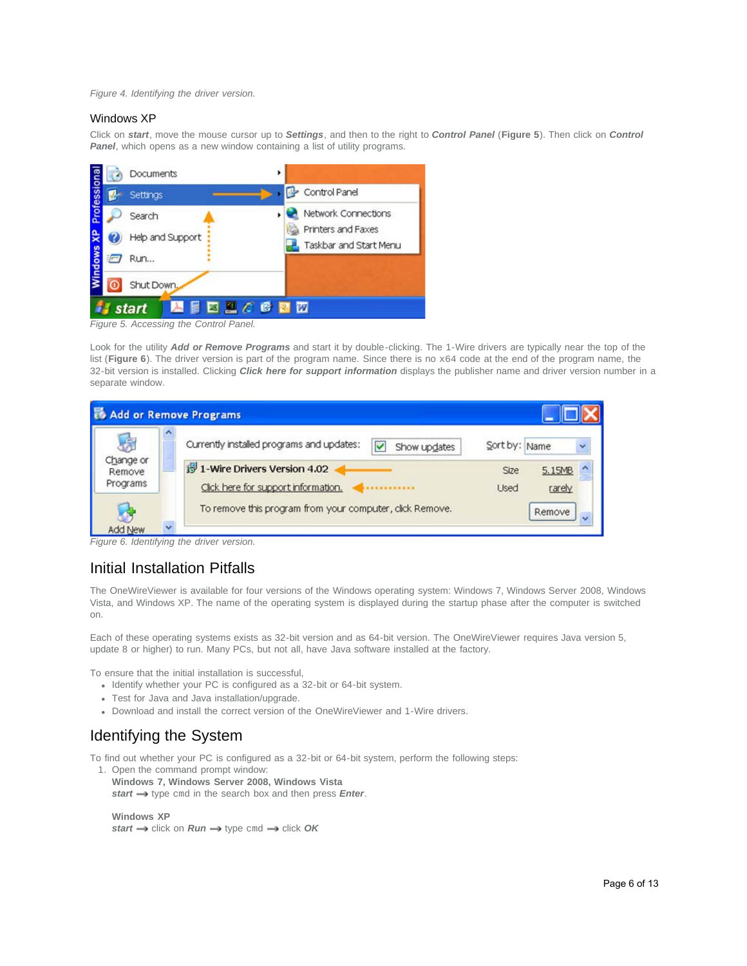#### *Figure 4. Identifying the driver version.*

#### Windows XP

Click on *start*, move the mouse cursor up to *Settings*, and then to the right to *Control Panel* (**Figure 5**). Then click on *Control* **Panel**, which opens as a new window containing a list of utility programs.



Look for the utility *Add or Remove Programs* and start it by double-clicking. The 1-Wire drivers are typically near the top of the list (Figure 6). The driver version is part of the program name. Since there is no x64 code at the end of the program name, the 32-bit version is installed. Clicking *Click here for support information* displays the publisher name and driver version number in a separate window.

|                                 |   | Add or Remove Programs                                                               |                            |                  |              |
|---------------------------------|---|--------------------------------------------------------------------------------------|----------------------------|------------------|--------------|
| 店                               |   | Currently installed programs and updates:<br>$\overline{\mathbf{v}}$<br>Show updates | Sort by: Name              |                  | $\checkmark$ |
| Change or<br>Remove<br>Programs |   | 19 1-Wire Drivers Version 4.02<br>Click here for support information.                | <b>Size</b><br><b>Used</b> | 5.15MB<br>rarely |              |
| <b>Add New</b>                  | v | To remove this program from your computer, click Remove.                             |                            | Remove           |              |

*Figure 6. Identifying the driver version.*

### Initial Installation Pitfalls

The OneWireViewer is available for four versions of the Windows operating system: Windows 7, Windows Server 2008, Windows Vista, and Windows XP. The name of the operating system is displayed during the startup phase after the computer is switched on.

Each of these operating systems exists as 32-bit version and as 64-bit version. The OneWireViewer requires Java version 5, update 8 or higher) to run. Many PCs, but not all, have Java software installed at the factory.

To ensure that the initial installation is successful,

- Identify whether your PC is configured as a 32-bit or 64-bit system.
- Test for Java and Java installation/upgrade.
- Download and install the correct version of the OneWireViewer and 1-Wire drivers.

## Identifying the System

To find out whether your PC is configured as a 32-bit or 64-bit system, perform the following steps:

1. Open the command prompt window:

**Windows 7, Windows Server 2008, Windows Vista** *start*  $\rightarrow$  type cmd in the search box and then press *Enter*.

**Windows XP**  $start \rightarrow$  click on  $Run \rightarrow$  type cmd  $\rightarrow$  click OK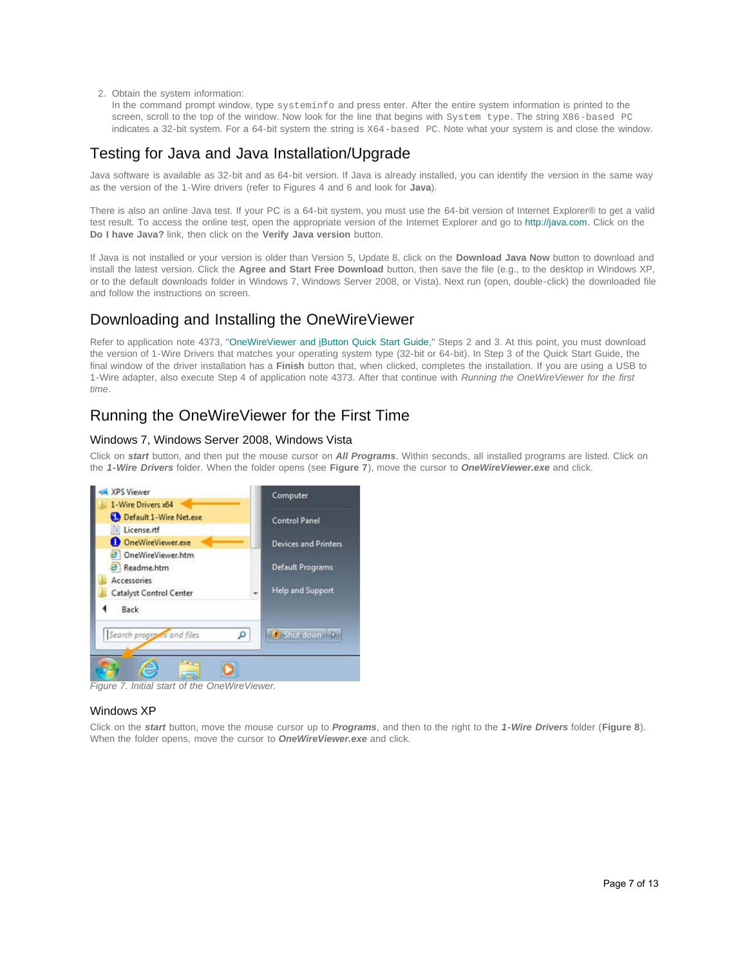2. Obtain the system information:

In the command prompt window, type systeminfo and press enter. After the entire system information is printed to the screen, scroll to the top of the window. Now look for the line that begins with System type. The string X86-based PC indicates a 32-bit system. For a 64-bit system the string is X64-based PC. Note what your system is and close the window.

## Testing for Java and Java Installation/Upgrade

Java software is available as 32-bit and as 64-bit version. If Java is already installed, you can identify the version in the same way as the version of the 1-Wire drivers (refer to Figures 4 and 6 and look for **Java**).

There is also an online Java test. If your PC is a 64-bit system, you must use the 64-bit version of Internet Explorer® to get a valid test result. To access the online test, open the appropriate version of the Internet Explorer and go to [http://java.com.](http://java.com/) Click on the **Do I have Java?** link, then click on the **Verify Java version** button.

If Java is not installed or your version is older than Version 5, Update 8, click on the **Download Java Now** button to download and install the latest version. Click the **Agree and Start Free Download** button, then save the file (e.g., to the desktop in Windows XP, or to the default downloads folder in Windows 7, Windows Server 2008, or Vista). Next run (open, double-click) the downloaded file and follow the instructions on screen.

### <span id="page-6-0"></span>Downloading and Installing the OneWireViewer

Refer to application note 4373, "[OneWireViewer and iButton Quick Start Guide](http://www.maximintegrated.com/an4373)," Steps 2 and 3. At this point, you must download the version of 1-Wire Drivers that matches your operating system type (32-bit or 64-bit). In Step 3 of the Quick Start Guide, the final window of the driver installation has a **Finish** button that, when clicked, completes the installation. If you are using a USB to 1-Wire adapter, also execute Step 4 of application note 4373. After that continue with *Running the OneWireViewer for the first time*.

# Running the OneWireViewer for the First Time

### Windows 7, Windows Server 2008, Windows Vista

Click on *start* button, and then put the mouse cursor on *All Programs*. Within seconds, all installed programs are listed. Click on the *1-Wire Drivers* folder. When the folder opens (see **Figure 7**), move the cursor to *OneWireViewer.exe* and click.



*Figure 7. Initial start of the OneWireViewer.*

### Windows XP

Click on the *start* button, move the mouse cursor up to *Programs*, and then to the right to the *1-Wire Drivers* folder (**Figure 8**). When the folder opens, move the cursor to *OneWireViewer.exe* and click.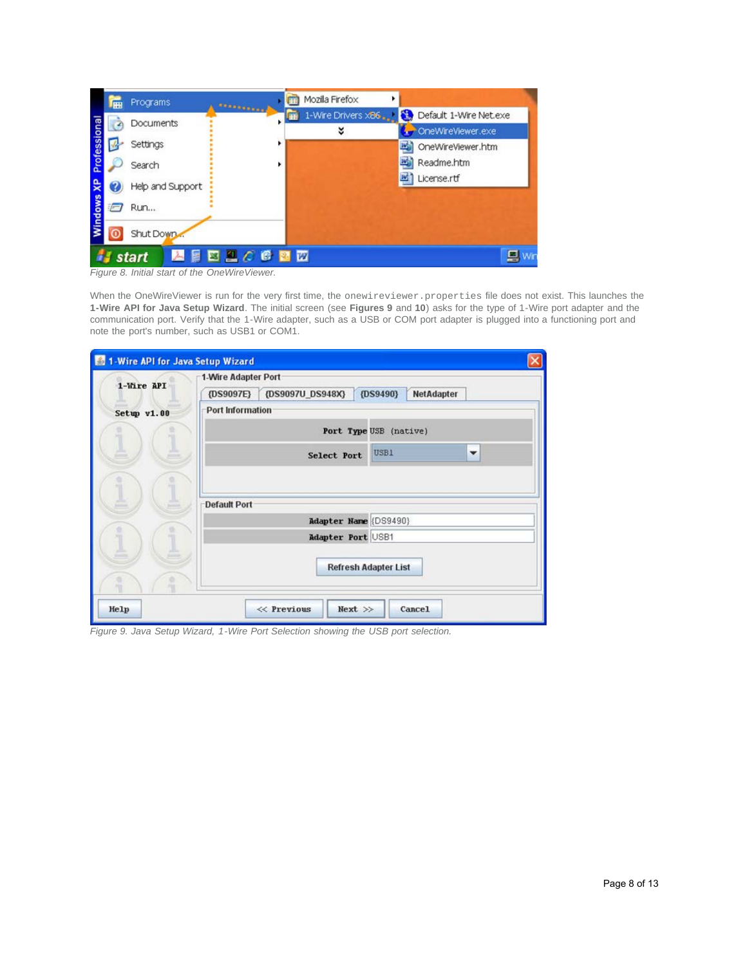|        | <b>FFI</b> | Programs         |                   | Mozilla Firefox     |                              |
|--------|------------|------------------|-------------------|---------------------|------------------------------|
|        |            | Documents        | <b>BESPRESSED</b> | 1-Wire Drivers x86. | Default 1-Wire Net.exe<br>N. |
| eno    |            |                  |                   | ४                   | OneWireViewer.exe            |
|        |            | Settings         |                   |                     | 晒<br>OneWireViewer.htm       |
| Profes |            | Search           |                   |                     | 旸<br>Readme.htm              |
|        | Ø          | Help and Support |                   |                     | 珚<br>License.rtf             |
| indows | $\sqrt{2}$ | <b>Run</b>       |                   |                     |                              |
|        |            | Shut Down        |                   |                     |                              |
|        |            | start            | 日本型人民国内           |                     | 鳳                            |

*Figure 8. Initial start of the OneWireViewer.*

When the OneWireViewer is run for the very first time, the onewireviewer.properties file does not exist. This launches the **1-Wire API for Java Setup Wizard**. The initial screen (see **Figures 9** and **10**) asks for the type of 1-Wire port adapter and the communication port. Verify that the 1-Wire adapter, such as a USB or COM port adapter is plugged into a functioning port and note the port's number, such as USB1 or COM1.

|             | 1-Wire API for Java Setup Wizard<br>1-Wire Adapter Port     |
|-------------|-------------------------------------------------------------|
| 1-Wire API  | {DS9097U_DS948X}<br>(DS9490)<br>NetAdapter<br>$\{DS9097E\}$ |
| Setup v1.00 | Port Information                                            |
|             | Port Type USB (native)                                      |
|             | USB1<br>$\checkmark$<br><b>Select Port</b>                  |
|             |                                                             |
|             | <b>Default Port</b>                                         |
|             | Adapter Name (DS9490)                                       |
|             | Adapter Port USB1                                           |
|             | <b>Refresh Adapter List</b>                                 |
| Help        | $\ll$ Previous<br>$Next$ >><br>Cancel                       |

*Figure 9. Java Setup Wizard, 1-Wire Port Selection showing the USB port selection.*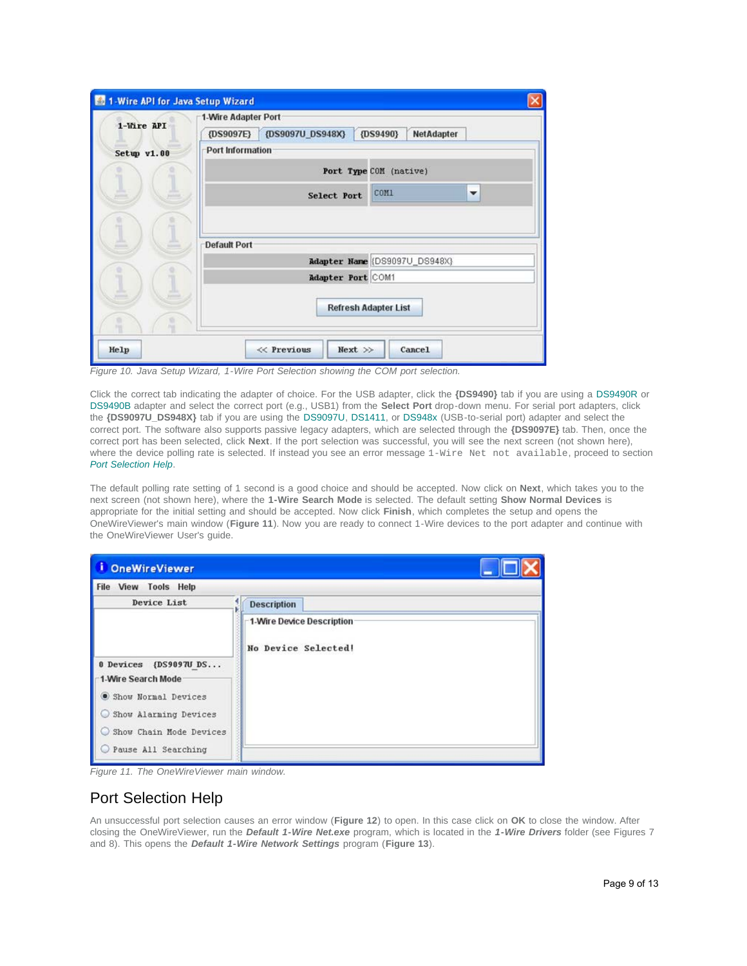| 1-Wire API  | 1-Wire Adapter Port                                         |
|-------------|-------------------------------------------------------------|
|             | {DS9097U_DS948X}<br>$\{DS9490\}$<br>NetAdapter<br>{DS9097E} |
| Setup v1.00 | Port Information                                            |
|             | Port Type COM (native)                                      |
|             | COMI<br>▼<br><b>Select Port</b>                             |
| ≞           | <b>Default Port</b><br>Adapter Name (DS9097U_DS948X)        |
|             |                                                             |
|             | Adapter Port COM1                                           |
|             | <b>Refresh Adapter List</b>                                 |

*Figure 10. Java Setup Wizard, 1-Wire Port Selection showing the COM port selection.*

Click the correct tab indicating the adapter of choice. For the USB adapter, click the **{DS9490}** tab if you are using a [DS9490R](http://www.maximintegrated.com/DS9490R) or [DS9490B](http://www.maximintegrated.com/DS9490B) adapter and select the correct port (e.g., USB1) from the **Select Port** drop-down menu. For serial port adapters, click the **{DS9097U\_DS948X}** tab if you are using the [DS9097U](http://www.maximintegrated.com/DS9097U), [DS1411](http://www.maximintegrated.com/DS1411), or [DS948x](http://www.maximintegrated.com/DS9481R-3C7) (USB-to-serial port) adapter and select the correct port. The software also supports passive legacy adapters, which are selected through the **{DS9097E}** tab. Then, once the correct port has been selected, click **Next**. If the port selection was successful, you will see the next screen (not shown here), where the device polling rate is selected. If instead you see an error message 1-Wire Net not available, proceed to section *[Port Selection Help](#page-8-0)*.

The default polling rate setting of 1 second is a good choice and should be accepted. Now click on **Next**, which takes you to the next screen (not shown here), where the **1-Wire Search Mode** is selected. The default setting **Show Normal Devices** is appropriate for the initial setting and should be accepted. Now click **Finish**, which completes the setup and opens the OneWireViewer's main window (**Figure 11**). Now you are ready to connect 1-Wire devices to the port adapter and continue with the OneWireViewer User's guide.

| î<br><b>OneWireViewer</b>                                                                                                                        |                                                         |  |  |
|--------------------------------------------------------------------------------------------------------------------------------------------------|---------------------------------------------------------|--|--|
| <b>File View Tools Help</b>                                                                                                                      |                                                         |  |  |
| Device List                                                                                                                                      | <b>Description</b>                                      |  |  |
| 0 Devices<br>{DS9097U DS<br>1-Wire Search Mode<br>Show Normal Devices<br>Show Alarming Devices<br>Show Chain Mode Devices<br>Pause All Searching | <b>1-Wire Device Description</b><br>No Device Selected! |  |  |

*Figure 11. The OneWireViewer main window.*

## <span id="page-8-0"></span>Port Selection Help

An unsuccessful port selection causes an error window (**Figure 12**) to open. In this case click on **OK** to close the window. After closing the OneWireViewer, run the *Default 1-Wire Net.exe* program, which is located in the *1-Wire Drivers* folder (see Figures 7 and 8). This opens the *Default 1-Wire Network Settings* program (**Figure 13**).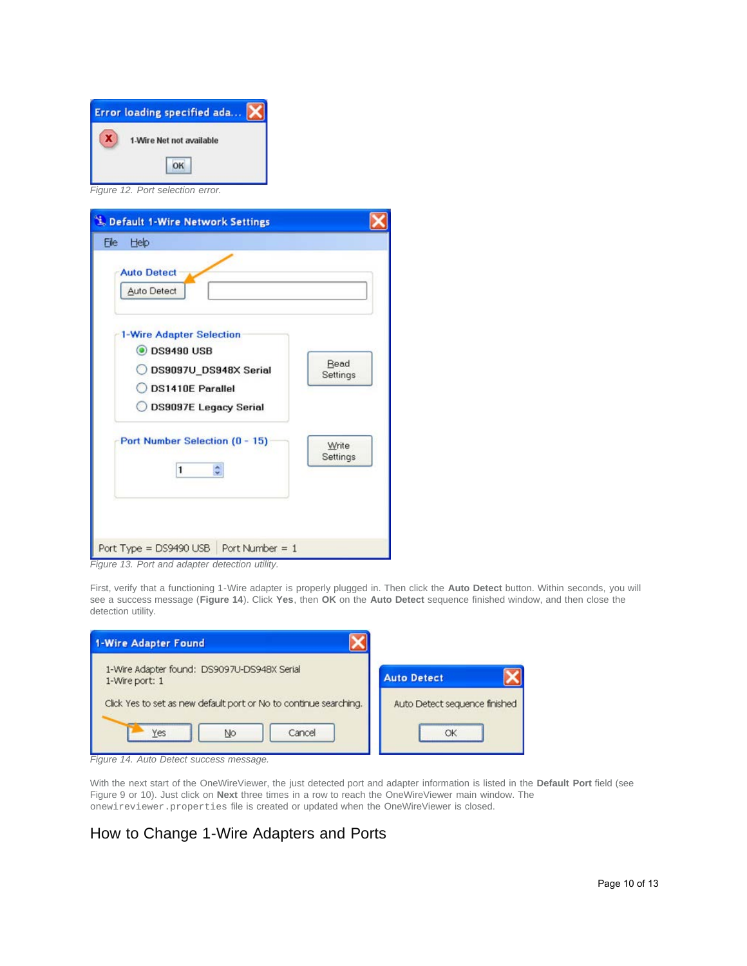| Error loading specified ada |                                |  |  |  |
|-----------------------------|--------------------------------|--|--|--|
|                             | 1-Wire Net not available<br>OK |  |  |  |

*Figure 12. Port selection error.*

| <b>L. Default 1-Wire Network Settings</b>                                                                                                 |                   |
|-------------------------------------------------------------------------------------------------------------------------------------------|-------------------|
| Help<br>File                                                                                                                              |                   |
| <b>Auto Detect</b><br><b>Auto Detect</b>                                                                                                  |                   |
| <b>1-Wire Adapter Selection</b><br><b>ODS9490 USB</b><br>DS9097U DS948X Serial<br><b>DS1410E Parallel</b><br><b>DS9097E Legacy Serial</b> | Read<br>Settings  |
| Port Number Selection (0 - 15)<br>1                                                                                                       | Write<br>Settings |
| Port Type = DS9490 USB    Port Number = 1                                                                                                 |                   |

*Figure 13. Port and adapter detection utility.*

First, verify that a functioning 1-Wire adapter is properly plugged in. Then click the **Auto Detect** button. Within seconds, you will see a success message (**Figure 14**). Click **Yes**, then **OK** on the **Auto Detect** sequence finished window, and then close the detection utility.

| <b>1-Wire Adapter Found</b>                                       |                               |
|-------------------------------------------------------------------|-------------------------------|
| 1-Wire Adapter found: DS9097U-DS948X Serial<br>1-Wire port: 1     | <b>Auto Detect</b>            |
| Click Yes to set as new default port or No to continue searching. | Auto Detect sequence finished |
| Yes<br>Cancel<br>No                                               | OK                            |

*Figure 14. Auto Detect success message.*

With the next start of the OneWireViewer, the just detected port and adapter information is listed in the **Default Port** field (see Figure 9 or 10). Just click on **Next** three times in a row to reach the OneWireViewer main window. The onewireviewer.properties file is created or updated when the OneWireViewer is closed.

# How to Change 1-Wire Adapters and Ports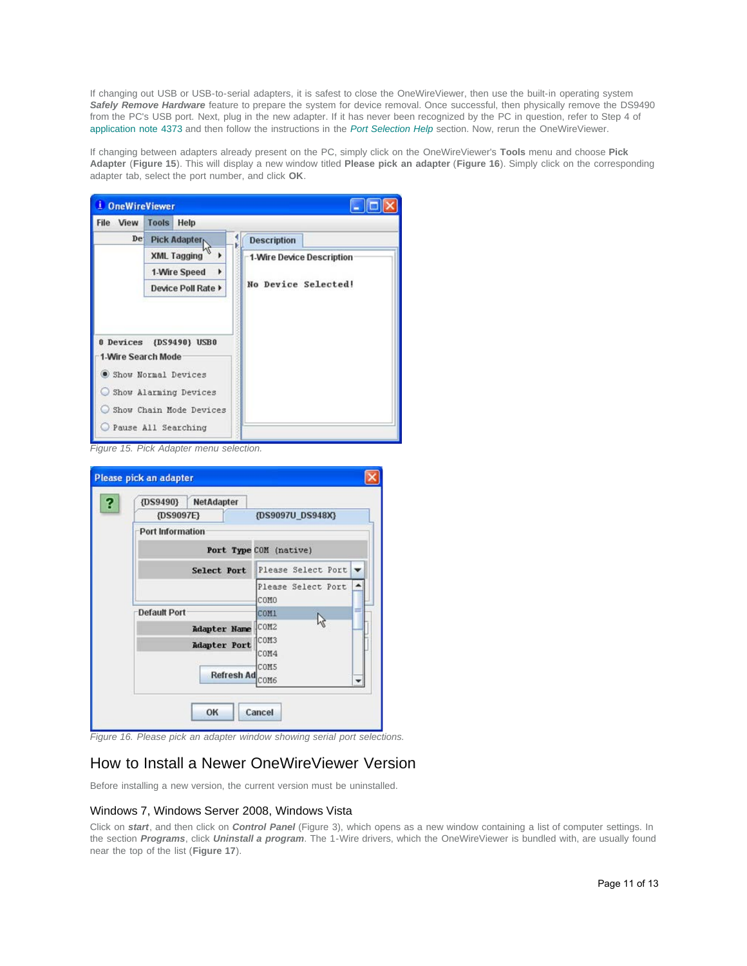If changing out USB or USB-to-serial adapters, it is safest to close the OneWireViewer, then use the built-in operating system *Safely Remove Hardware* feature to prepare the system for device removal. Once successful, then physically remove the DS9490 from the PC's USB port. Next, plug in the new adapter. If it has never been recognized by the PC in question, refer to Step 4 of [application note 4373](http://www.maximintegrated.com/an4373) and then follow the instructions in the *[Port Selection Help](#page-8-0)* section. Now, rerun the OneWireViewer.

If changing between adapters already present on the PC, simply click on the OneWireViewer's **Tools** menu and choose **Pick Adapter** (**Figure 15**). This will display a new window titled **Please pick an adapter** (**Figure 16**). Simply click on the corresponding adapter tab, select the port number, and click **OK**.



*Figure 15. Pick Adapter menu selection.*

| $\{DS9490\}$            | <b>NetAdapter</b>   |                        |  |
|-------------------------|---------------------|------------------------|--|
|                         | {DS9097E}           | {DS9097U DS948X}       |  |
| <b>Port Information</b> |                     |                        |  |
|                         |                     | Port Type COM (native) |  |
|                         | Select Port         | Please Select Port     |  |
|                         |                     | Please Select Port     |  |
|                         |                     | COMO                   |  |
| <b>Default Port</b>     |                     | COM1                   |  |
|                         | <b>Adapter Name</b> | ICOM <sub>2</sub>      |  |
|                         | <b>Adapter Port</b> | COM3                   |  |
|                         |                     | COM4<br>COM5           |  |
|                         | <b>Refresh Ad</b>   | COM6                   |  |
|                         |                     |                        |  |

*Figure 16. Please pick an adapter window showing serial port selections.*

## How to Install a Newer OneWireViewer Version

Before installing a new version, the current version must be uninstalled.

### Windows 7, Windows Server 2008, Windows Vista

Click on *start*, and then click on *Control Panel* (Figure 3), which opens as a new window containing a list of computer settings. In the section *Programs*, click *Uninstall a program*. The 1-Wire drivers, which the OneWireViewer is bundled with, are usually found near the top of the list (**Figure 17**).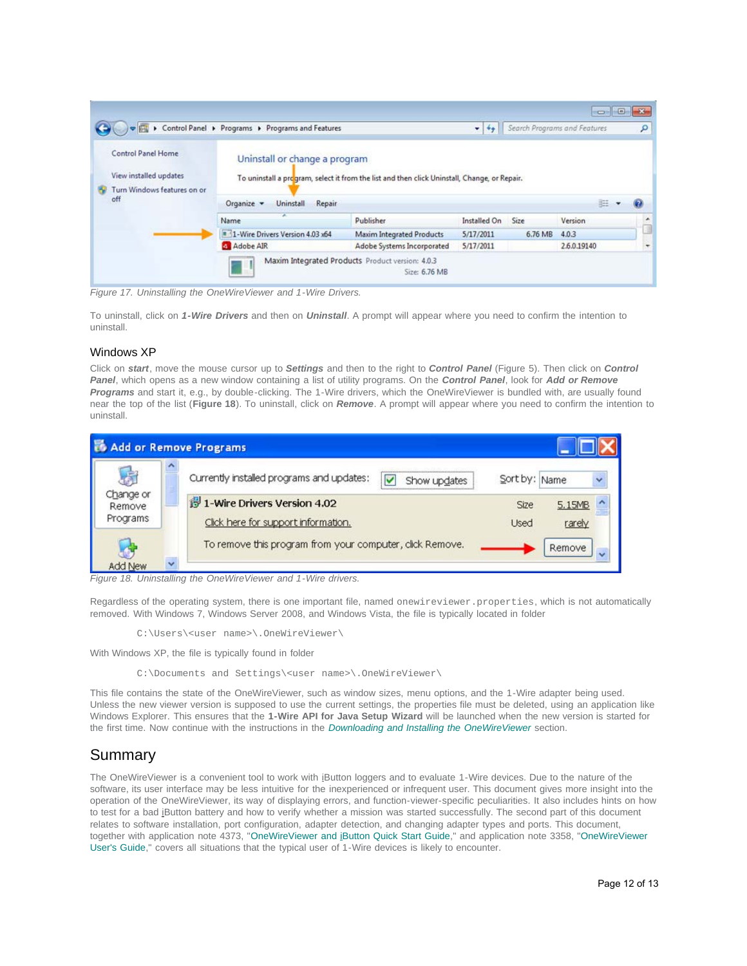|                                                                                         | Control Panel > Programs > Programs and Features                                                                                                                                                     |                                  | $\overline{\phantom{0}}$ |         | Search Programs and Features | ٩ |
|-----------------------------------------------------------------------------------------|------------------------------------------------------------------------------------------------------------------------------------------------------------------------------------------------------|----------------------------------|--------------------------|---------|------------------------------|---|
| Control Panel Home<br>View installed updates<br>Turn Windows features on or<br>÷<br>off | Uninstall or change a program<br>To uninstall a program, select it from the list and then click Uninstall, Change, or Repair.<br>$\overline{\mathbf{z}}$<br>三 -<br>Organize -<br>Uninstall<br>Repair |                                  |                          |         |                              |   |
|                                                                                         | Name                                                                                                                                                                                                 | Publisher                        | Installed On             | Size    | Version                      |   |
|                                                                                         |                                                                                                                                                                                                      |                                  |                          | 6.76 MB |                              |   |
|                                                                                         | 1-Wire Drivers Version 4.03 x64                                                                                                                                                                      | <b>Maxim Integrated Products</b> | 5/17/2011                |         | 4.0.3                        |   |

*Figure 17. Uninstalling the OneWireViewer and 1-Wire Drivers.*

To uninstall, click on *1-Wire Drivers* and then on *Uninstall*. A prompt will appear where you need to confirm the intention to uninstall.

### Windows XP

Click on *start*, move the mouse cursor up to *Settings* and then to the right to *Control Panel* (Figure 5). Then click on *Control Panel*, which opens as a new window containing a list of utility programs. On the *Control Panel*, look for *Add or Remove Programs* and start it, e.g., by double-clicking. The 1-Wire drivers, which the OneWireViewer is bundled with, are usually found near the top of the list (**Figure 18**). To uninstall, click on *Remove*. A prompt will appear where you need to confirm the intention to uninstall.



*Figure 18. Uninstalling the OneWireViewer and 1-Wire drivers.*

Regardless of the operating system, there is one important file, named onewireviewer.properties, which is not automatically removed. With Windows 7, Windows Server 2008, and Windows Vista, the file is typically located in folder

C:\Users\<user name>\.OneWireViewer\

With Windows XP, the file is typically found in folder

C:\Documents and Settings\<user name>\.OneWireViewer\

This file contains the state of the OneWireViewer, such as window sizes, menu options, and the 1-Wire adapter being used. Unless the new viewer version is supposed to use the current settings, the properties file must be deleted, using an application like Windows Explorer. This ensures that the **1-Wire API for Java Setup Wizard** will be launched when the new version is started for the first time. Now continue with the instructions in the *[Downloading and Installing the OneWireViewer](#page-6-0)* section.

## Summary

The OneWireViewer is a convenient tool to work with iButton loggers and to evaluate 1-Wire devices. Due to the nature of the software, its user interface may be less intuitive for the inexperienced or infrequent user. This document gives more insight into the operation of the OneWireViewer, its way of displaying errors, and function-viewer-specific peculiarities. It also includes hints on how to test for a bad iButton battery and how to verify whether a mission was started successfully. The second part of this document relates to software installation, port configuration, adapter detection, and changing adapter types and ports. This document, together with application note 4373, "[OneWireViewer and iButton Quick Start Guide](http://www.maximintegrated.com/an4373)," and application note 3358, ["OneWireViewer](http://www.maximintegrated.com/an3358) [User's Guide,](http://www.maximintegrated.com/an3358)" covers all situations that the typical user of 1-Wire devices is likely to encounter.